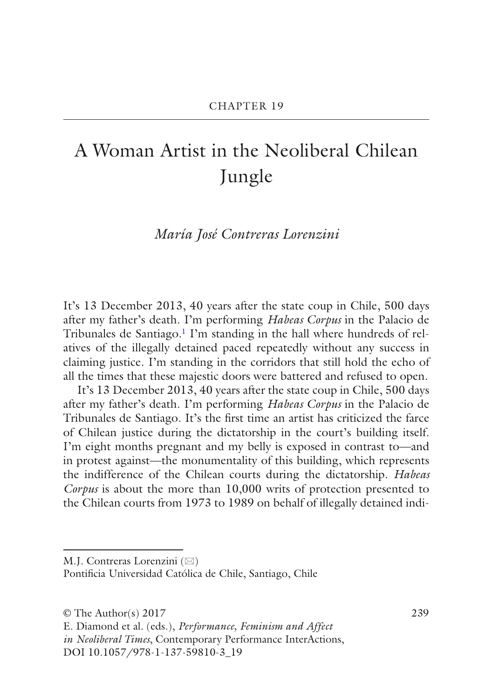# A Woman Artist in the Neoliberal Chilean Jungle

*María José Contreras Lorenzini*

It's 13 December 2013, 40 years after the state coup in Chile, 500 days after my father's death. I'm performing *Habeas Corpus* in the Palacio de Tribunales de Santiago.<sup>[1](#page-11-0)</sup> I'm standing in the hall where hundreds of relatives of the illegally detained paced repeatedly without any success in claiming justice. I'm standing in the corridors that still hold the echo of all the times that these majestic doors were battered and refused to open.

It's 13 December 2013, 40 years after the state coup in Chile, 500 days after my father's death. I'm performing *Habeas Corpus* in the Palacio de Tribunales de Santiago. It's the first time an artist has criticized the farce of Chilean justice during the dictatorship in the court's building itself. I'm eight months pregnant and my belly is exposed in contrast to—and in protest against—the monumentality of this building, which represents the indifference of the Chilean courts during the dictatorship. *Habeas Corpus* is about the more than 10,000 writs of protection presented to the Chilean courts from 1973 to 1989 on behalf of illegally detained indi-

M.J. Contreras Lorenzini  $(\boxtimes)$ 

Pontificia Universidad Católica de Chile, Santiago, Chile

 $\degree$  The Author(s) 2017 239

E. Diamond et al. (eds.), *Performance, Feminism and Affect in Neoliberal Times*, Contemporary Performance InterActions, DOI 10.1057/978-1-137-59810-3\_19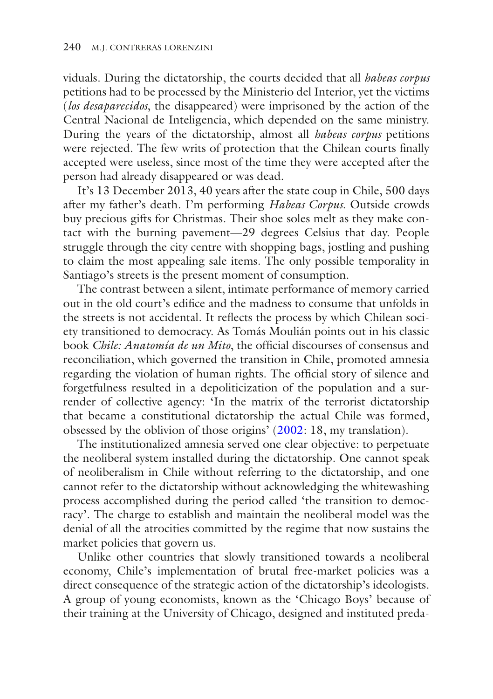viduals. During the dictatorship, the courts decided that all *habeas corpus* petitions had to be processed by the Ministerio del Interior, yet the victims (*los desaparecidos*, the disappeared) were imprisoned by the action of the Central Nacional de Inteligencia, which depended on the same ministry. During the years of the dictatorship, almost all *habeas corpus* petitions were rejected. The few writs of protection that the Chilean courts finally accepted were useless, since most of the time they were accepted after the person had already disappeared or was dead.

It's 13 December 2013, 40 years after the state coup in Chile, 500 days after my father's death. I'm performing *Habeas Corpus*. Outside crowds buy precious gifts for Christmas. Their shoe soles melt as they make contact with the burning pavement—29 degrees Celsius that day. People struggle through the city centre with shopping bags, jostling and pushing to claim the most appealing sale items. The only possible temporality in Santiago's streets is the present moment of consumption.

The contrast between a silent, intimate performance of memory carried out in the old court's edifice and the madness to consume that unfolds in the streets is not accidental. It reflects the process by which Chilean society transitioned to democracy. As Tomás Moulián points out in his classic book *Chile: Anatomía de un Mito*, the official discourses of consensus and reconciliation, which governed the transition in Chile, promoted amnesia regarding the violation of human rights. The official story of silence and forgetfulness resulted in a depoliticization of the population and a surrender of collective agency: 'In the matrix of the terrorist dictatorship that became a constitutional dictatorship the actual Chile was formed, obsessed by the oblivion of those origins' [\(2002](#page-12-0): 18, my translation).

The institutionalized amnesia served one clear objective: to perpetuate the neoliberal system installed during the dictatorship. One cannot speak of neoliberalism in Chile without referring to the dictatorship, and one cannot refer to the dictatorship without acknowledging the whitewashing process accomplished during the period called 'the transition to democracy'. The charge to establish and maintain the neoliberal model was the denial of all the atrocities committed by the regime that now sustains the market policies that govern us.

Unlike other countries that slowly transitioned towards a neoliberal economy, Chile's implementation of brutal free-market policies was a direct consequence of the strategic action of the dictatorship's ideologists. A group of young economists, known as the 'Chicago Boys' because of their training at the University of Chicago, designed and instituted preda-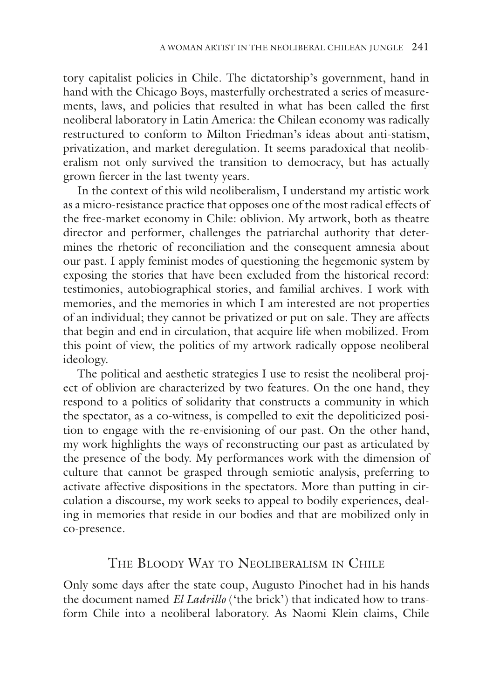tory capitalist policies in Chile. The dictatorship's government, hand in hand with the Chicago Boys, masterfully orchestrated a series of measurements, laws, and policies that resulted in what has been called the first neoliberal laboratory in Latin America: the Chilean economy was radically restructured to conform to Milton Friedman's ideas about anti-statism, privatization, and market deregulation. It seems paradoxical that neoliberalism not only survived the transition to democracy, but has actually grown fiercer in the last twenty years.

In the context of this wild neoliberalism, I understand my artistic work as a micro-resistance practice that opposes one of the most radical effects of the free-market economy in Chile: oblivion. My artwork, both as theatre director and performer, challenges the patriarchal authority that determines the rhetoric of reconciliation and the consequent amnesia about our past. I apply feminist modes of questioning the hegemonic system by exposing the stories that have been excluded from the historical record: testimonies, autobiographical stories, and familial archives. I work with memories, and the memories in which I am interested are not properties of an individual; they cannot be privatized or put on sale. They are affects that begin and end in circulation, that acquire life when mobilized. From this point of view, the politics of my artwork radically oppose neoliberal ideology.

The political and aesthetic strategies I use to resist the neoliberal project of oblivion are characterized by two features. On the one hand, they respond to a politics of solidarity that constructs a community in which the spectator, as a co-witness, is compelled to exit the depoliticized position to engage with the re-envisioning of our past. On the other hand, my work highlights the ways of reconstructing our past as articulated by the presence of the body. My performances work with the dimension of culture that cannot be grasped through semiotic analysis, preferring to activate affective dispositions in the spectators. More than putting in circulation a discourse, my work seeks to appeal to bodily experiences, dealing in memories that reside in our bodies and that are mobilized only in co-presence.

# The Bloody Way to Neoliberalism in Chile

Only some days after the state coup, Augusto Pinochet had in his hands the document named *El Ladrillo* ('the brick') that indicated how to transform Chile into a neoliberal laboratory. As Naomi Klein claims, Chile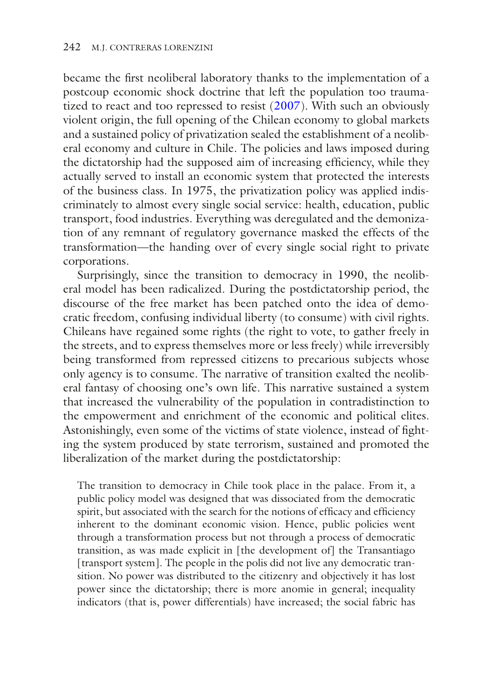became the first neoliberal laboratory thanks to the implementation of a postcoup economic shock doctrine that left the population too traumatized to react and too repressed to resist [\(2007\)](#page-12-1). With such an obviously violent origin, the full opening of the Chilean economy to global markets and a sustained policy of privatization sealed the establishment of a neoliberal economy and culture in Chile. The policies and laws imposed during the dictatorship had the supposed aim of increasing efficiency, while they actually served to install an economic system that protected the interests of the business class. In 1975, the privatization policy was applied indiscriminately to almost every single social service: health, education, public transport, food industries. Everything was deregulated and the demonization of any remnant of regulatory governance masked the effects of the transformation—the handing over of every single social right to private corporations.

Surprisingly, since the transition to democracy in 1990, the neoliberal model has been radicalized. During the postdictatorship period, the discourse of the free market has been patched onto the idea of democratic freedom, confusing individual liberty (to consume) with civil rights. Chileans have regained some rights (the right to vote, to gather freely in the streets, and to express themselves more or less freely) while irreversibly being transformed from repressed citizens to precarious subjects whose only agency is to consume. The narrative of transition exalted the neoliberal fantasy of choosing one's own life. This narrative sustained a system that increased the vulnerability of the population in contradistinction to the empowerment and enrichment of the economic and political elites. Astonishingly, even some of the victims of state violence, instead of fighting the system produced by state terrorism, sustained and promoted the liberalization of the market during the postdictatorship:

The transition to democracy in Chile took place in the palace. From it, a public policy model was designed that was dissociated from the democratic spirit, but associated with the search for the notions of efficacy and efficiency inherent to the dominant economic vision. Hence, public policies went through a transformation process but not through a process of democratic transition, as was made explicit in [the development of] the Transantiago [transport system]. The people in the polis did not live any democratic transition. No power was distributed to the citizenry and objectively it has lost power since the dictatorship; there is more anomie in general; inequality indicators (that is, power differentials) have increased; the social fabric has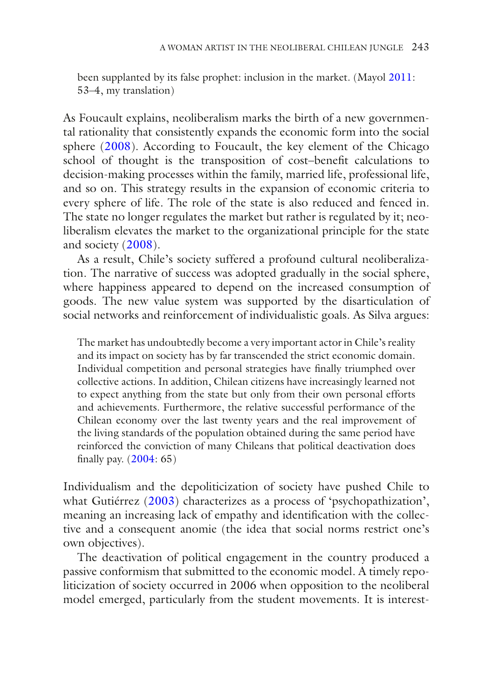been supplanted by its false prophet: inclusion in the market. (Mayol [2011](#page-12-2): 53–4, my translation)

As Foucault explains, neoliberalism marks the birth of a new governmental rationality that consistently expands the economic form into the social sphere [\(2008](#page-12-3)). According to Foucault, the key element of the Chicago school of thought is the transposition of cost–benefit calculations to decision-making processes within the family, married life, professional life, and so on. This strategy results in the expansion of economic criteria to every sphere of life. The role of the state is also reduced and fenced in. The state no longer regulates the market but rather is regulated by it; neoliberalism elevates the market to the organizational principle for the state and society ([2008](#page-12-3)).

As a result, Chile's society suffered a profound cultural neoliberalization. The narrative of success was adopted gradually in the social sphere, where happiness appeared to depend on the increased consumption of goods. The new value system was supported by the disarticulation of social networks and reinforcement of individualistic goals. As Silva argues:

The market has undoubtedly become a very important actor in Chile's reality and its impact on society has by far transcended the strict economic domain. Individual competition and personal strategies have finally triumphed over collective actions. In addition, Chilean citizens have increasingly learned not to expect anything from the state but only from their own personal efforts and achievements. Furthermore, the relative successful performance of the Chilean economy over the last twenty years and the real improvement of the living standards of the population obtained during the same period have reinforced the conviction of many Chileans that political deactivation does finally pay. ([2004:](#page-12-4) 65)

Individualism and the depoliticization of society have pushed Chile to what Gutiérrez [\(2003\)](#page-12-5) characterizes as a process of 'psychopathization', meaning an increasing lack of empathy and identification with the collective and a consequent anomie (the idea that social norms restrict one's own objectives).

The deactivation of political engagement in the country produced a passive conformism that submitted to the economic model. A timely repoliticization of society occurred in 2006 when opposition to the neoliberal model emerged, particularly from the student movements. It is interest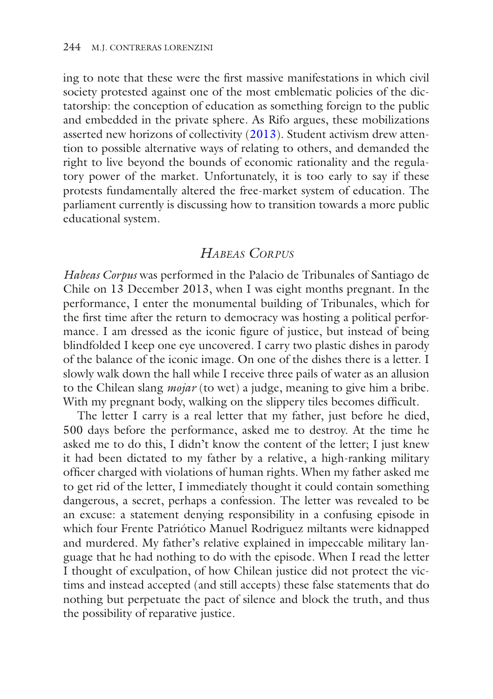ing to note that these were the first massive manifestations in which civil society protested against one of the most emblematic policies of the dictatorship: the conception of education as something foreign to the public and embedded in the private sphere. As Rifo argues, these mobilizations asserted new horizons of collectivity ([2013](#page-12-6)). Student activism drew attention to possible alternative ways of relating to others, and demanded the right to live beyond the bounds of economic rationality and the regulatory power of the market. Unfortunately, it is too early to say if these protests fundamentally altered the free-market system of education. The parliament currently is discussing how to transition towards a more public educational system.

### *Habeas Corpus*

*Habeas Corpus* was performed in the Palacio de Tribunales of Santiago de Chile on 13 December 2013, when I was eight months pregnant. In the performance, I enter the monumental building of Tribunales, which for the first time after the return to democracy was hosting a political performance. I am dressed as the iconic figure of justice, but instead of being blindfolded I keep one eye uncovered. I carry two plastic dishes in parody of the balance of the iconic image. On one of the dishes there is a letter. I slowly walk down the hall while I receive three pails of water as an allusion to the Chilean slang *mojar* (to wet) a judge, meaning to give him a bribe. With my pregnant body, walking on the slippery tiles becomes difficult.

The letter I carry is a real letter that my father, just before he died, 500 days before the performance, asked me to destroy. At the time he asked me to do this, I didn't know the content of the letter; I just knew it had been dictated to my father by a relative, a high-ranking military officer charged with violations of human rights. When my father asked me to get rid of the letter, I immediately thought it could contain something dangerous, a secret, perhaps a confession. The letter was revealed to be an excuse: a statement denying responsibility in a confusing episode in which four Frente Patriótico Manuel Rodriguez miltants were kidnapped and murdered. My father's relative explained in impeccable military language that he had nothing to do with the episode. When I read the letter I thought of exculpation, of how Chilean justice did not protect the victims and instead accepted (and still accepts) these false statements that do nothing but perpetuate the pact of silence and block the truth, and thus the possibility of reparative justice.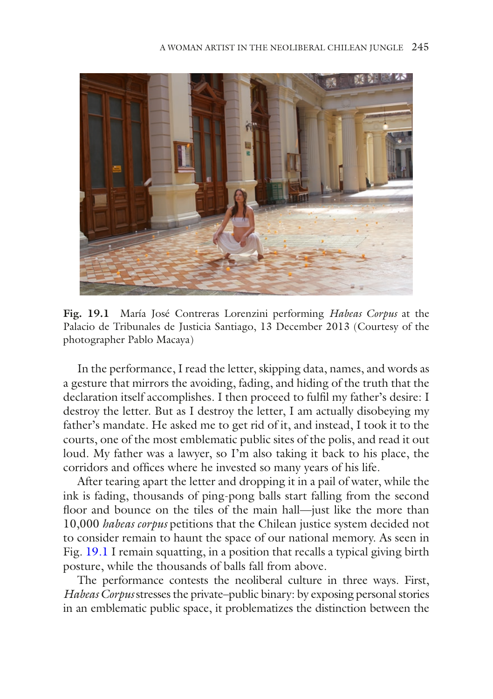<span id="page-6-0"></span>

**Fig. 19.1** María José Contreras Lorenzini performing *Habeas Corpus* at the Palacio de Tribunales de Justicia Santiago, 13 December 2013 (Courtesy of the photographer Pablo Macaya)

In the performance, I read the letter, skipping data, names, and words as a gesture that mirrors the avoiding, fading, and hiding of the truth that the declaration itself accomplishes. I then proceed to fulfil my father's desire: I destroy the letter. But as I destroy the letter, I am actually disobeying my father's mandate. He asked me to get rid of it, and instead, I took it to the courts, one of the most emblematic public sites of the polis, and read it out loud. My father was a lawyer, so I'm also taking it back to his place, the corridors and offices where he invested so many years of his life.

After tearing apart the letter and dropping it in a pail of water, while the ink is fading, thousands of ping-pong balls start falling from the second floor and bounce on the tiles of the main hall—just like the more than 10,000 *habeas corpus* petitions that the Chilean justice system decided not to consider remain to haunt the space of our national memory. As seen in Fig. [19.1](#page-6-0) I remain squatting, in a position that recalls a typical giving birth posture, while the thousands of balls fall from above.

The performance contests the neoliberal culture in three ways. First, *Habeas Corpus* stresses the private–public binary: by exposing personal stories in an emblematic public space, it problematizes the distinction between the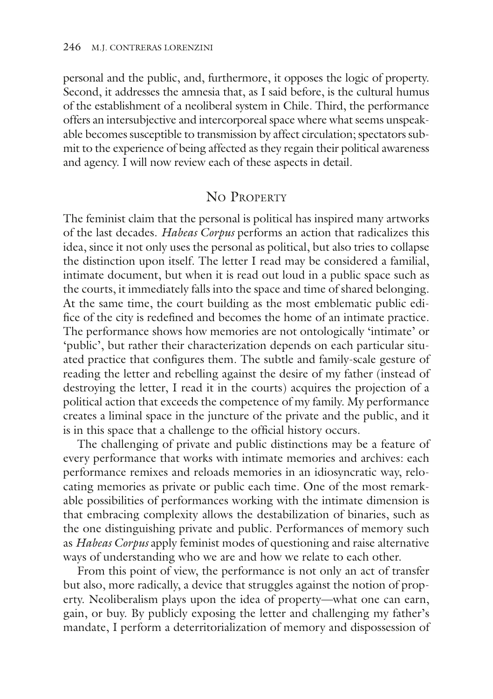personal and the public, and, furthermore, it opposes the logic of property. Second, it addresses the amnesia that, as I said before, is the cultural humus of the establishment of a neoliberal system in Chile. Third, the performance offers an intersubjective and intercorporeal space where what seems unspeakable becomes susceptible to transmission by affect circulation; spectators submit to the experience of being affected as they regain their political awareness and agency. I will now review each of these aspects in detail.

# NO PROPERTY

The feminist claim that the personal is political has inspired many artworks of the last decades. *Habeas Corpus* performs an action that radicalizes this idea, since it not only uses the personal as political, but also tries to collapse the distinction upon itself. The letter I read may be considered a familial, intimate document, but when it is read out loud in a public space such as the courts, it immediately falls into the space and time of shared belonging. At the same time, the court building as the most emblematic public edifice of the city is redefined and becomes the home of an intimate practice. The performance shows how memories are not ontologically 'intimate' or 'public', but rather their characterization depends on each particular situated practice that configures them. The subtle and family-scale gesture of reading the letter and rebelling against the desire of my father (instead of destroying the letter, I read it in the courts) acquires the projection of a political action that exceeds the competence of my family. My performance creates a liminal space in the juncture of the private and the public, and it is in this space that a challenge to the official history occurs.

The challenging of private and public distinctions may be a feature of every performance that works with intimate memories and archives: each performance remixes and reloads memories in an idiosyncratic way, relocating memories as private or public each time. One of the most remarkable possibilities of performances working with the intimate dimension is that embracing complexity allows the destabilization of binaries, such as the one distinguishing private and public. Performances of memory such as *Habeas Corpus* apply feminist modes of questioning and raise alternative ways of understanding who we are and how we relate to each other.

From this point of view, the performance is not only an act of transfer but also, more radically, a device that struggles against the notion of property. Neoliberalism plays upon the idea of property—what one can earn, gain, or buy. By publicly exposing the letter and challenging my father's mandate, I perform a deterritorialization of memory and dispossession of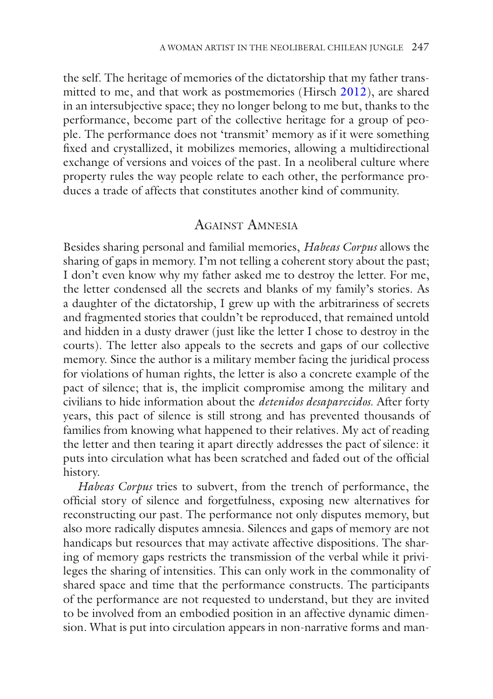the self. The heritage of memories of the dictatorship that my father transmitted to me, and that work as postmemories (Hirsch [2012](#page-12-7)), are shared in an intersubjective space; they no longer belong to me but, thanks to the performance, become part of the collective heritage for a group of people. The performance does not 'transmit' memory as if it were something fixed and crystallized, it mobilizes memories, allowing a multidirectional exchange of versions and voices of the past. In a neoliberal culture where property rules the way people relate to each other, the performance produces a trade of affects that constitutes another kind of community.

#### Against Amnesia

Besides sharing personal and familial memories, *Habeas Corpus* allows the sharing of gaps in memory. I'm not telling a coherent story about the past; I don't even know why my father asked me to destroy the letter. For me, the letter condensed all the secrets and blanks of my family's stories. As a daughter of the dictatorship, I grew up with the arbitrariness of secrets and fragmented stories that couldn't be reproduced, that remained untold and hidden in a dusty drawer (just like the letter I chose to destroy in the courts). The letter also appeals to the secrets and gaps of our collective memory. Since the author is a military member facing the juridical process for violations of human rights, the letter is also a concrete example of the pact of silence; that is, the implicit compromise among the military and civilians to hide information about the *detenidos desaparecidos*. After forty years, this pact of silence is still strong and has prevented thousands of families from knowing what happened to their relatives. My act of reading the letter and then tearing it apart directly addresses the pact of silence: it puts into circulation what has been scratched and faded out of the official history.

*Habeas Corpus* tries to subvert, from the trench of performance, the official story of silence and forgetfulness, exposing new alternatives for reconstructing our past. The performance not only disputes memory, but also more radically disputes amnesia. Silences and gaps of memory are not handicaps but resources that may activate affective dispositions. The sharing of memory gaps restricts the transmission of the verbal while it privileges the sharing of intensities. This can only work in the commonality of shared space and time that the performance constructs. The participants of the performance are not requested to understand, but they are invited to be involved from an embodied position in an affective dynamic dimension. What is put into circulation appears in non-narrative forms and man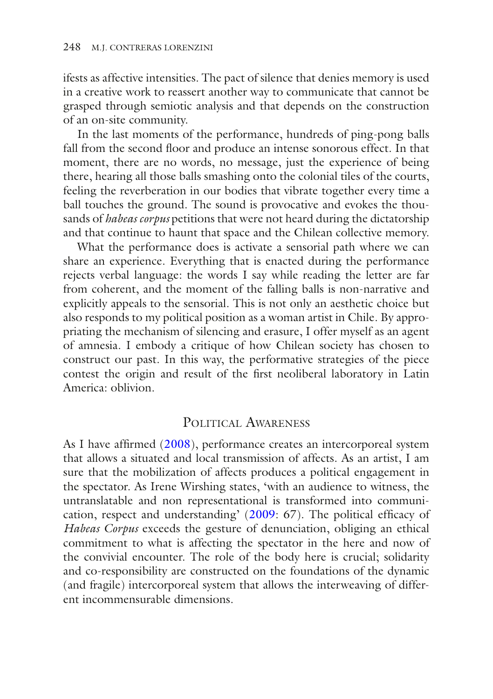ifests as affective intensities. The pact of silence that denies memory is used in a creative work to reassert another way to communicate that cannot be grasped through semiotic analysis and that depends on the construction of an on-site community.

In the last moments of the performance, hundreds of ping-pong balls fall from the second floor and produce an intense sonorous effect. In that moment, there are no words, no message, just the experience of being there, hearing all those balls smashing onto the colonial tiles of the courts, feeling the reverberation in our bodies that vibrate together every time a ball touches the ground. The sound is provocative and evokes the thousands of *habeas corpus* petitions that were not heard during the dictatorship and that continue to haunt that space and the Chilean collective memory.

What the performance does is activate a sensorial path where we can share an experience. Everything that is enacted during the performance rejects verbal language: the words I say while reading the letter are far from coherent, and the moment of the falling balls is non-narrative and explicitly appeals to the sensorial. This is not only an aesthetic choice but also responds to my political position as a woman artist in Chile. By appropriating the mechanism of silencing and erasure, I offer myself as an agent of amnesia. I embody a critique of how Chilean society has chosen to construct our past. In this way, the performative strategies of the piece contest the origin and result of the first neoliberal laboratory in Latin America: oblivion.

#### POLITICAL AWARENESS

As I have affirmed ([2008](#page-12-8)), performance creates an intercorporeal system that allows a situated and local transmission of affects. As an artist, I am sure that the mobilization of affects produces a political engagement in the spectator. As Irene Wirshing states, 'with an audience to witness, the untranslatable and non representational is transformed into communication, respect and understanding' [\(2009:](#page-12-9) 67). The political efficacy of *Habeas Corpus* exceeds the gesture of denunciation, obliging an ethical commitment to what is affecting the spectator in the here and now of the convivial encounter. The role of the body here is crucial; solidarity and co-responsibility are constructed on the foundations of the dynamic (and fragile) intercorporeal system that allows the interweaving of different incommensurable dimensions.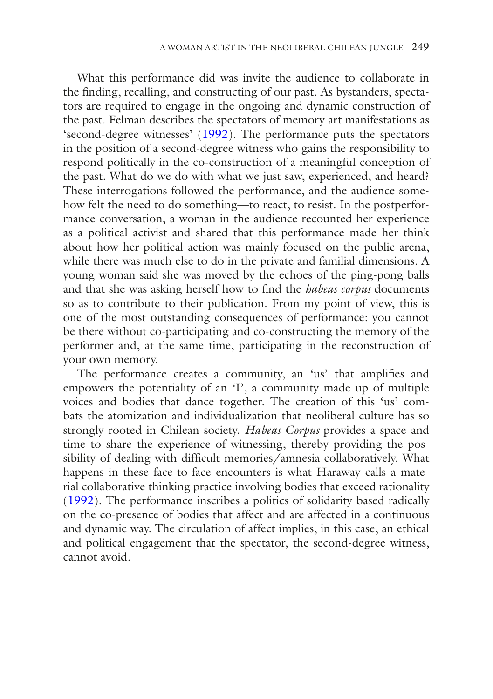What this performance did was invite the audience to collaborate in the finding, recalling, and constructing of our past. As bystanders, spectators are required to engage in the ongoing and dynamic construction of the past. Felman describes the spectators of memory art manifestations as 'second-degree witnesses' [\(1992](#page-12-10)). The performance puts the spectators in the position of a second-degree witness who gains the responsibility to respond politically in the co-construction of a meaningful conception of the past. What do we do with what we just saw, experienced, and heard? These interrogations followed the performance, and the audience somehow felt the need to do something—to react, to resist. In the postperformance conversation, a woman in the audience recounted her experience as a political activist and shared that this performance made her think about how her political action was mainly focused on the public arena, while there was much else to do in the private and familial dimensions. A young woman said she was moved by the echoes of the ping-pong balls and that she was asking herself how to find the *habeas corpus* documents so as to contribute to their publication. From my point of view, this is one of the most outstanding consequences of performance: you cannot be there without co-participating and co-constructing the memory of the performer and, at the same time, participating in the reconstruction of your own memory.

The performance creates a community, an 'us' that amplifies and empowers the potentiality of an 'I', a community made up of multiple voices and bodies that dance together. The creation of this 'us' combats the atomization and individualization that neoliberal culture has so strongly rooted in Chilean society. *Habeas Corpus* provides a space and time to share the experience of witnessing, thereby providing the possibility of dealing with difficult memories/amnesia collaboratively. What happens in these face-to-face encounters is what Haraway calls a material collaborative thinking practice involving bodies that exceed rationality ([1992](#page-12-11)). The performance inscribes a politics of solidarity based radically on the co-presence of bodies that affect and are affected in a continuous and dynamic way. The circulation of affect implies, in this case, an ethical and political engagement that the spectator, the second-degree witness, cannot avoid.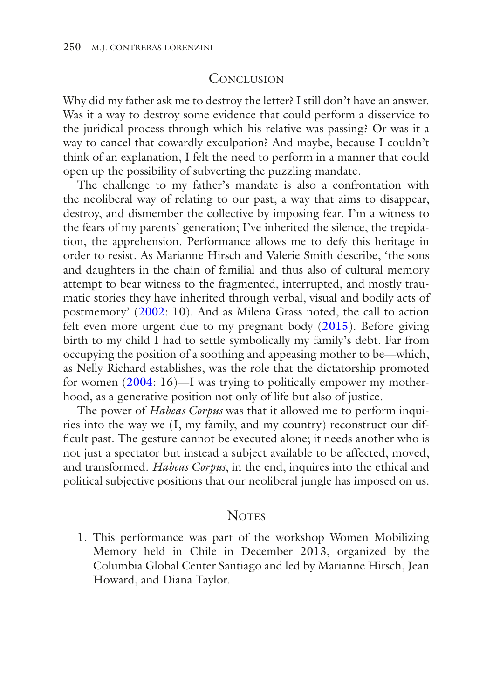# **CONCLUSION**

Why did my father ask me to destroy the letter? I still don't have an answer. Was it a way to destroy some evidence that could perform a disservice to the juridical process through which his relative was passing? Or was it a way to cancel that cowardly exculpation? And maybe, because I couldn't think of an explanation, I felt the need to perform in a manner that could open up the possibility of subverting the puzzling mandate.

The challenge to my father's mandate is also a confrontation with the neoliberal way of relating to our past, a way that aims to disappear, destroy, and dismember the collective by imposing fear. I'm a witness to the fears of my parents' generation; I've inherited the silence, the trepidation, the apprehension. Performance allows me to defy this heritage in order to resist. As Marianne Hirsch and Valerie Smith describe, 'the sons and daughters in the chain of familial and thus also of cultural memory attempt to bear witness to the fragmented, interrupted, and mostly traumatic stories they have inherited through verbal, visual and bodily acts of postmemory' ([2002](#page-12-12): 10). And as Milena Grass noted, the call to action felt even more urgent due to my pregnant body [\(2015\)](#page-12-13). Before giving birth to my child I had to settle symbolically my family's debt. Far from occupying the position of a soothing and appeasing mother to be—which, as Nelly Richard establishes, was the role that the dictatorship promoted for women ([2004](#page-12-14): 16)—I was trying to politically empower my motherhood, as a generative position not only of life but also of justice.

The power of *Habeas Corpus* was that it allowed me to perform inquiries into the way we (I, my family, and my country) reconstruct our difficult past. The gesture cannot be executed alone; it needs another who is not just a spectator but instead a subject available to be affected, moved, and transformed. *Habeas Corpus*, in the end, inquires into the ethical and political subjective positions that our neoliberal jungle has imposed on us.

#### <span id="page-11-0"></span>**NOTES**

1. This performance was part of the workshop Women Mobilizing Memory held in Chile in December 2013, organized by the Columbia Global Center Santiago and led by Marianne Hirsch, Jean Howard, and Diana Taylor.